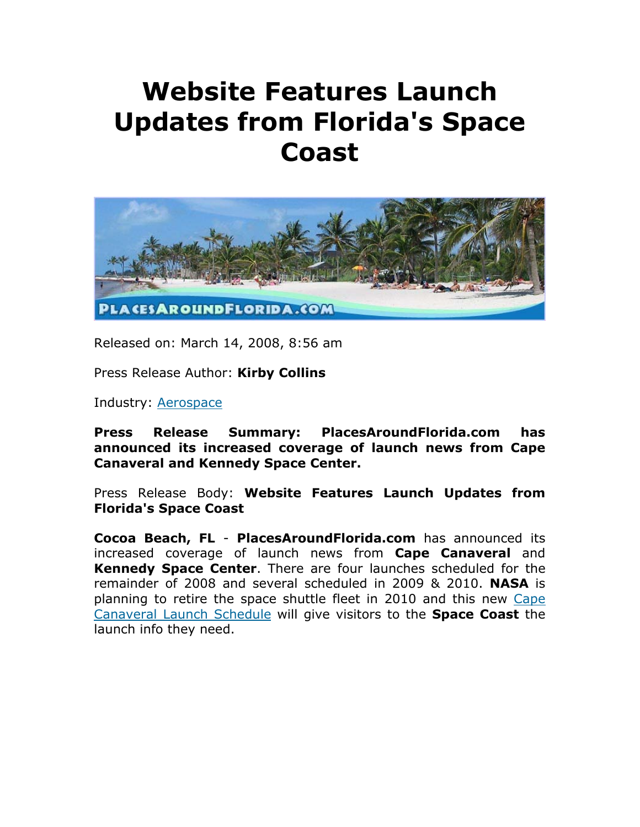## **Website Features Launch Updates from Florida's Space Coast**



Released on: March 14, 2008, 8:56 am

Press Release Author: **Kirby Collins**

Industry: Aerospace

**Press Release Summary: PlacesAroundFlorida.com has announced its increased coverage of launch news from Cape Canaveral and Kennedy Space Center.** 

Press Release Body: **Website Features Launch Updates from Florida's Space Coast**

**Cocoa Beach, FL** - **PlacesAroundFlorida.com** has announced its increased coverage of launch news from **Cape Canaveral** and **Kennedy Space Center**. There are four launches scheduled for the remainder of 2008 and several scheduled in 2009 & 2010. **NASA** is planning to retire the space shuttle fleet in 2010 and this new Cape Canaveral Launch Schedule will give visitors to the **Space Coast** the launch info they need.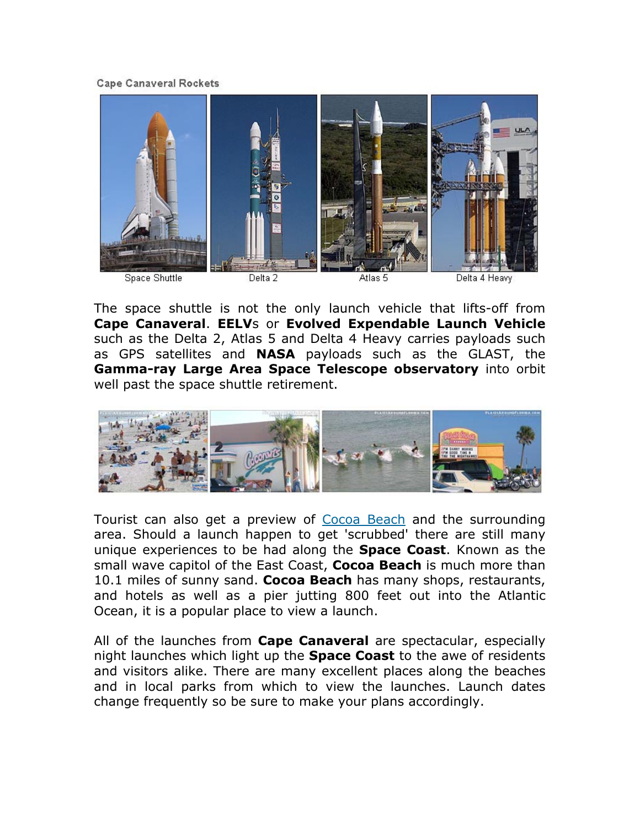**Cape Canaveral Rockets** 



The space shuttle is not the only launch vehicle that lifts-off from **Cape Canaveral**. **EELV**s or **Evolved Expendable Launch Vehicle** such as the Delta 2, Atlas 5 and Delta 4 Heavy carries payloads such as GPS satellites and **NASA** payloads such as the GLAST, the **Gamma-ray Large Area Space Telescope observatory** into orbit well past the space shuttle retirement.



Tourist can also get a preview of Cocoa Beach and the surrounding area. Should a launch happen to get 'scrubbed' there are still many unique experiences to be had along the **Space Coast**. Known as the small wave capitol of the East Coast, **Cocoa Beach** is much more than 10.1 miles of sunny sand. **Cocoa Beach** has many shops, restaurants, and hotels as well as a pier jutting 800 feet out into the Atlantic Ocean, it is a popular place to view a launch.

All of the launches from **Cape Canaveral** are spectacular, especially night launches which light up the **Space Coast** to the awe of residents and visitors alike. There are many excellent places along the beaches and in local parks from which to view the launches. Launch dates change frequently so be sure to make your plans accordingly.